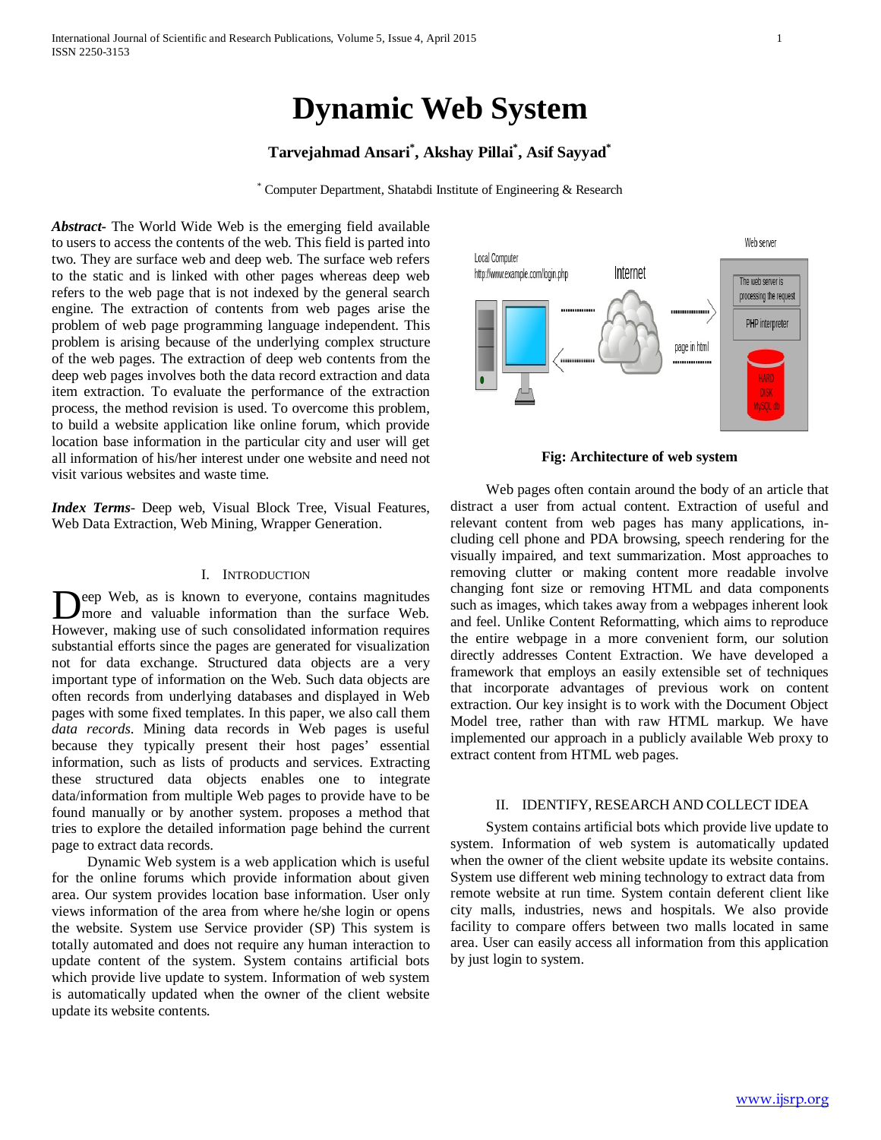# **Dynamic Web System**

## **Tarvejahmad Ansari\* , Akshay Pillai\* , Asif Sayyad\***

\* Computer Department, Shatabdi Institute of Engineering & Research

*Abstract***-** The World Wide Web is the emerging field available to users to access the contents of the web. This field is parted into two. They are surface web and deep web. The surface web refers to the static and is linked with other pages whereas deep web refers to the web page that is not indexed by the general search engine. The extraction of contents from web pages arise the problem of web page programming language independent. This problem is arising because of the underlying complex structure of the web pages. The extraction of deep web contents from the deep web pages involves both the data record extraction and data item extraction. To evaluate the performance of the extraction process, the method revision is used. To overcome this problem, to build a website application like online forum, which provide location base information in the particular city and user will get all information of his/her interest under one website and need not visit various websites and waste time.

*Index Terms*- Deep web, Visual Block Tree, Visual Features, Web Data Extraction, Web Mining, Wrapper Generation.

## I. INTRODUCTION

eep Web, as is known to everyone, contains magnitudes more and valuable information than the surface Web. Deep Web, as is known to everyone, contains magnitudes more and valuable information than the surface Web.<br>However, making use of such consolidated information requires substantial efforts since the pages are generated for visualization not for data exchange. Structured data objects are a very important type of information on the Web. Such data objects are often records from underlying databases and displayed in Web pages with some fixed templates. In this paper, we also call them *data records*. Mining data records in Web pages is useful because they typically present their host pages' essential information, such as lists of products and services. Extracting these structured data objects enables one to integrate data/information from multiple Web pages to provide have to be found manually or by another system. proposes a method that tries to explore the detailed information page behind the current page to extract data records.

 Dynamic Web system is a web application which is useful for the online forums which provide information about given area. Our system provides location base information. User only views information of the area from where he/she login or opens the website. System use Service provider (SP) This system is totally automated and does not require any human interaction to update content of the system. System contains artificial bots which provide live update to system. Information of web system is automatically updated when the owner of the client website update its website contents.



**Fig: Architecture of web system**

 Web pages often contain around the body of an article that distract a user from actual content. Extraction of useful and relevant content from web pages has many applications, including cell phone and PDA browsing, speech rendering for the visually impaired, and text summarization. Most approaches to removing clutter or making content more readable involve changing font size or removing HTML and data components such as images, which takes away from a webpages inherent look and feel. Unlike Content Reformatting, which aims to reproduce the entire webpage in a more convenient form, our solution directly addresses Content Extraction. We have developed a framework that employs an easily extensible set of techniques that incorporate advantages of previous work on content extraction. Our key insight is to work with the Document Object Model tree, rather than with raw HTML markup. We have implemented our approach in a publicly available Web proxy to extract content from HTML web pages.

## II. IDENTIFY, RESEARCH AND COLLECT IDEA

 System contains artificial bots which provide live update to system. Information of web system is automatically updated when the owner of the client website update its website contains. System use different web mining technology to extract data from remote website at run time. System contain deferent client like city malls, industries, news and hospitals. We also provide facility to compare offers between two malls located in same area. User can easily access all information from this application by just login to system.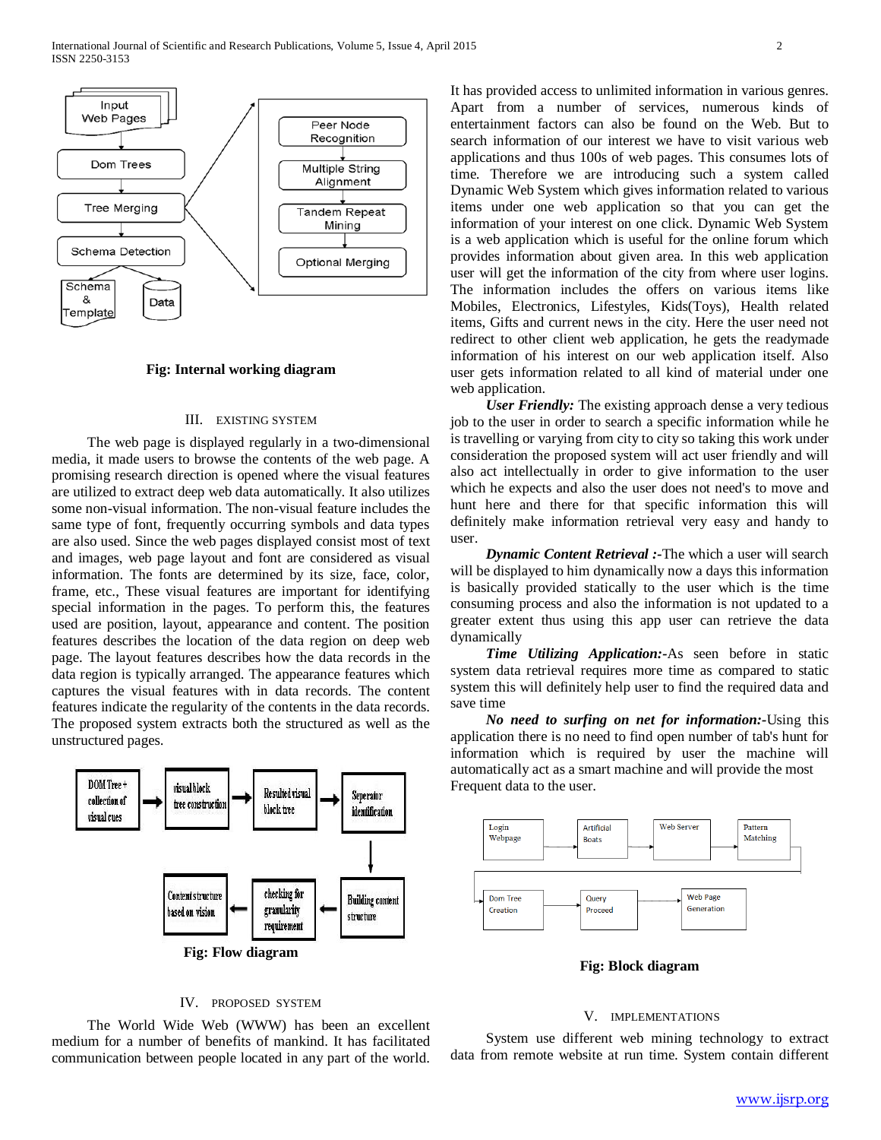

## **Fig: Internal working diagram**

## III. EXISTING SYSTEM

 The web page is displayed regularly in a two-dimensional media, it made users to browse the contents of the web page. A promising research direction is opened where the visual features are utilized to extract deep web data automatically. It also utilizes some non-visual information. The non-visual feature includes the same type of font, frequently occurring symbols and data types are also used. Since the web pages displayed consist most of text and images, web page layout and font are considered as visual information. The fonts are determined by its size, face, color, frame, etc., These visual features are important for identifying special information in the pages. To perform this, the features used are position, layout, appearance and content. The position features describes the location of the data region on deep web page. The layout features describes how the data records in the data region is typically arranged. The appearance features which captures the visual features with in data records. The content features indicate the regularity of the contents in the data records. The proposed system extracts both the structured as well as the unstructured pages.



## IV. PROPOSED SYSTEM

 The World Wide Web (WWW) has been an excellent medium for a number of benefits of mankind. It has facilitated communication between people located in any part of the world. It has provided access to unlimited information in various genres. Apart from a number of services, numerous kinds of entertainment factors can also be found on the Web. But to search information of our interest we have to visit various web applications and thus 100s of web pages. This consumes lots of time. Therefore we are introducing such a system called Dynamic Web System which gives information related to various items under one web application so that you can get the information of your interest on one click. Dynamic Web System is a web application which is useful for the online forum which provides information about given area. In this web application user will get the information of the city from where user logins. The information includes the offers on various items like Mobiles, Electronics, Lifestyles, Kids(Toys), Health related items, Gifts and current news in the city. Here the user need not redirect to other client web application, he gets the readymade information of his interest on our web application itself. Also user gets information related to all kind of material under one web application.

 *User Friendly:* The existing approach dense a very tedious job to the user in order to search a specific information while he is travelling or varying from city to city so taking this work under consideration the proposed system will act user friendly and will also act intellectually in order to give information to the user which he expects and also the user does not need's to move and hunt here and there for that specific information this will definitely make information retrieval very easy and handy to user.

 *Dynamic Content Retrieval :-*The which a user will search will be displayed to him dynamically now a days this information is basically provided statically to the user which is the time consuming process and also the information is not updated to a greater extent thus using this app user can retrieve the data dynamically

 *Time Utilizing Application:-*As seen before in static system data retrieval requires more time as compared to static system this will definitely help user to find the required data and save time

 *No need to surfing on net for information:-*Using this application there is no need to find open number of tab's hunt for information which is required by user the machine will automatically act as a smart machine and will provide the most Frequent data to the user.



**Fig: Block diagram**

## V. IMPLEMENTATIONS

 System use different web mining technology to extract data from remote website at run time. System contain different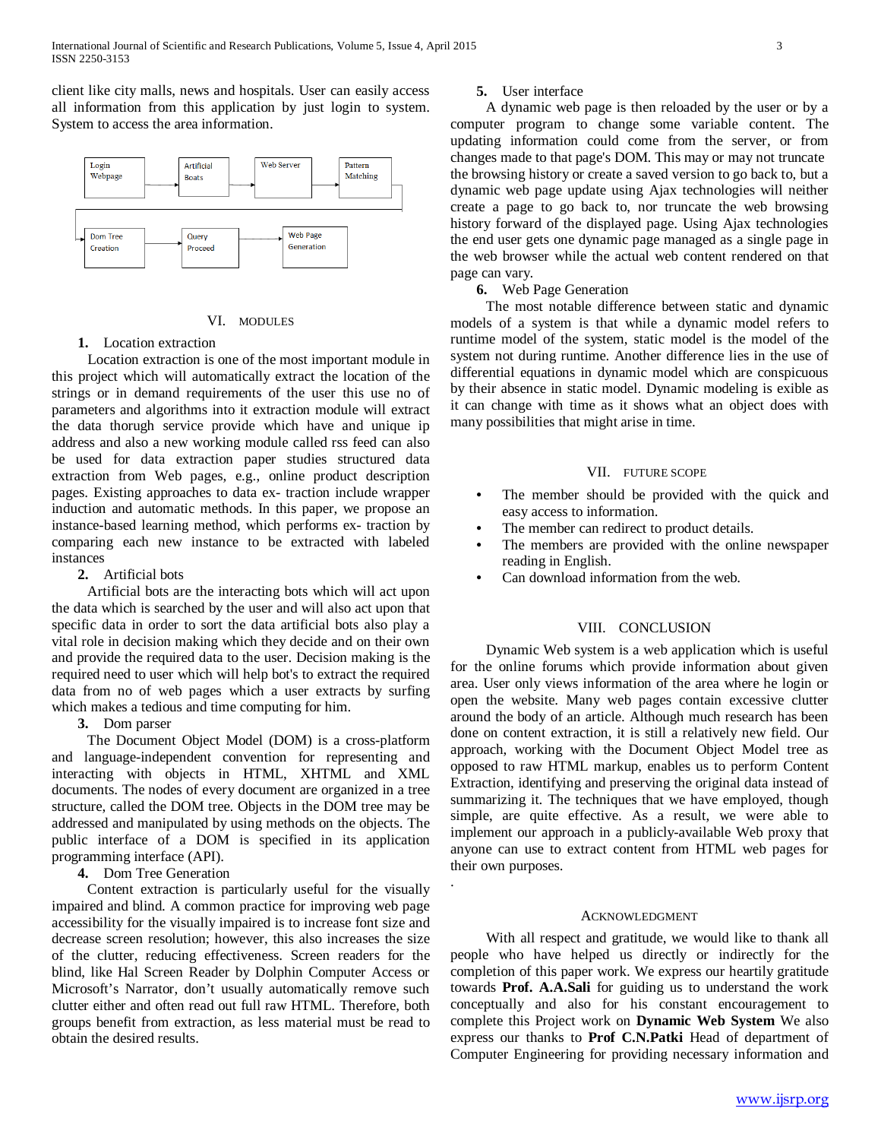client like city malls, news and hospitals. User can easily access all information from this application by just login to system. System to access the area information.



#### VI. MODULES

## **1.** Location extraction

 Location extraction is one of the most important module in this project which will automatically extract the location of the strings or in demand requirements of the user this use no of parameters and algorithms into it extraction module will extract the data thorugh service provide which have and unique ip address and also a new working module called rss feed can also be used for data extraction paper studies structured data extraction from Web pages, e.g., online product description pages. Existing approaches to data ex- traction include wrapper induction and automatic methods. In this paper, we propose an instance-based learning method, which performs ex- traction by comparing each new instance to be extracted with labeled instances

## **2.** Artificial bots

 Artificial bots are the interacting bots which will act upon the data which is searched by the user and will also act upon that specific data in order to sort the data artificial bots also play a vital role in decision making which they decide and on their own and provide the required data to the user. Decision making is the required need to user which will help bot's to extract the required data from no of web pages which a user extracts by surfing which makes a tedious and time computing for him.

## **3.** Dom parser

 The Document Object Model (DOM) is a cross-platform and language-independent convention for representing and interacting with objects in HTML, XHTML and XML documents. The nodes of every document are organized in a tree structure, called the DOM tree. Objects in the DOM tree may be addressed and manipulated by using methods on the objects. The public interface of a DOM is specified in its application programming interface (API).

**4.** Dom Tree Generation

 Content extraction is particularly useful for the visually impaired and blind. A common practice for improving web page accessibility for the visually impaired is to increase font size and decrease screen resolution; however, this also increases the size of the clutter, reducing effectiveness. Screen readers for the blind, like Hal Screen Reader by Dolphin Computer Access or Microsoft's Narrator, don't usually automatically remove such clutter either and often read out full raw HTML. Therefore, both groups benefit from extraction, as less material must be read to obtain the desired results.

## **5.** User interface

 A dynamic web page is then reloaded by the user or by a computer program to change some variable content. The updating information could come from the server, or from changes made to that page's DOM. This may or may not truncate the browsing history or create a saved version to go back to, but a dynamic web page update using Ajax technologies will neither create a page to go back to, nor truncate the web browsing history forward of the displayed page. Using Ajax technologies the end user gets one dynamic page managed as a single page in the web browser while the actual web content rendered on that page can vary.

## **6.** Web Page Generation

 The most notable difference between static and dynamic models of a system is that while a dynamic model refers to runtime model of the system, static model is the model of the system not during runtime. Another difference lies in the use of differential equations in dynamic model which are conspicuous by their absence in static model. Dynamic modeling is exible as it can change with time as it shows what an object does with many possibilities that might arise in time.

## VII. FUTURE SCOPE

- The member should be provided with the quick and easy access to information.
- The member can redirect to product details.
- The members are provided with the online newspaper reading in English.
- Can download information from the web.

## VIII. CONCLUSION

 Dynamic Web system is a web application which is useful for the online forums which provide information about given area. User only views information of the area where he login or open the website. Many web pages contain excessive clutter around the body of an article. Although much research has been done on content extraction, it is still a relatively new field. Our approach, working with the Document Object Model tree as opposed to raw HTML markup, enables us to perform Content Extraction, identifying and preserving the original data instead of summarizing it. The techniques that we have employed, though simple, are quite effective. As a result, we were able to implement our approach in a publicly-available Web proxy that anyone can use to extract content from HTML web pages for their own purposes.

#### ACKNOWLEDGMENT

.

 With all respect and gratitude, we would like to thank all people who have helped us directly or indirectly for the completion of this paper work. We express our heartily gratitude towards **Prof. A.A.Sali** for guiding us to understand the work conceptually and also for his constant encouragement to complete this Project work on **Dynamic Web System** We also express our thanks to **Prof C.N.Patki** Head of department of Computer Engineering for providing necessary information and